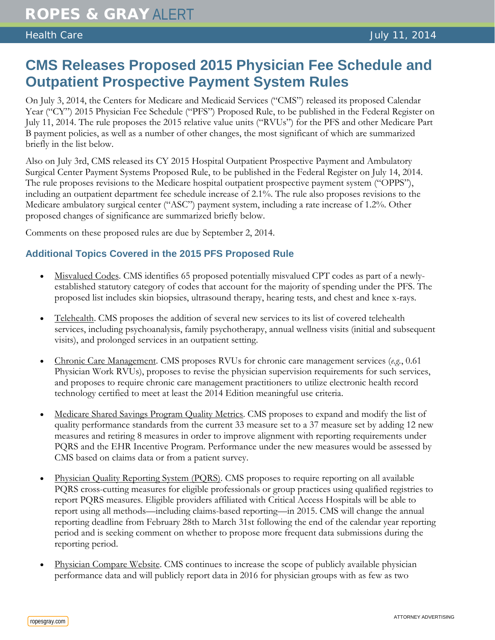## **CMS Releases Proposed 2015 Physician Fee Schedule and Outpatient Prospective Payment System Rules**

On July 3, 2014, the Centers for Medicare and Medicaid Services ("CMS") released its proposed Calendar Year ("CY") 2015 Physician Fee Schedule ("PFS") Proposed Rule, to be published in the Federal Register on July 11, 2014. The rule proposes the 2015 relative value units ("RVUs") for the PFS and other Medicare Part B payment policies, as well as a number of other changes, the most significant of which are summarized briefly in the list below.

Also on July 3rd, CMS released its CY 2015 Hospital Outpatient Prospective Payment and Ambulatory Surgical Center Payment Systems Proposed Rule, to be published in the Federal Register on July 14, 2014. The rule proposes revisions to the Medicare hospital outpatient prospective payment system ("OPPS"), including an outpatient department fee schedule increase of 2.1%. The rule also proposes revisions to the Medicare ambulatory surgical center ("ASC") payment system, including a rate increase of 1.2%. Other proposed changes of significance are summarized briefly below.

Comments on these proposed rules are due by September 2, 2014.

## **Additional Topics Covered in the 2015 PFS Proposed Rule**

- Misvalued Codes. CMS identifies 65 proposed potentially misvalued CPT codes as part of a newlyestablished statutory category of codes that account for the majority of spending under the PFS. The proposed list includes skin biopsies, ultrasound therapy, hearing tests, and chest and knee x-rays.
- Telehealth. CMS proposes the addition of several new services to its list of covered telehealth services, including psychoanalysis, family psychotherapy, annual wellness visits (initial and subsequent visits), and prolonged services in an outpatient setting.
- Chronic Care Management. CMS proposes RVUs for chronic care management services (*e.g.*, 0.61 Physician Work RVUs), proposes to revise the physician supervision requirements for such services, and proposes to require chronic care management practitioners to utilize electronic health record technology certified to meet at least the 2014 Edition meaningful use criteria.
- Medicare Shared Savings Program Quality Metrics. CMS proposes to expand and modify the list of quality performance standards from the current 33 measure set to a 37 measure set by adding 12 new measures and retiring 8 measures in order to improve alignment with reporting requirements under PQRS and the EHR Incentive Program. Performance under the new measures would be assessed by CMS based on claims data or from a patient survey.
- Physician Quality Reporting System (PQRS). CMS proposes to require reporting on all available PQRS cross-cutting measures for eligible professionals or group practices using qualified registries to report PQRS measures. Eligible providers affiliated with Critical Access Hospitals will be able to report using all methods—including claims-based reporting—in 2015. CMS will change the annual reporting deadline from February 28th to March 31st following the end of the calendar year reporting period and is seeking comment on whether to propose more frequent data submissions during the reporting period.
- Physician Compare Website. CMS continues to increase the scope of publicly available physician performance data and will publicly report data in 2016 for physician groups with as few as two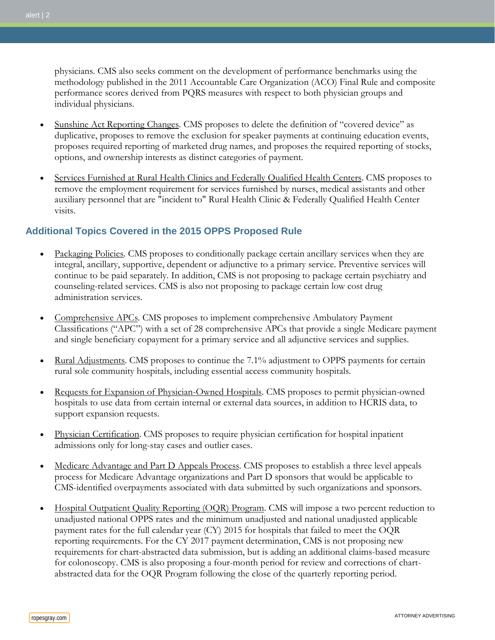physicians. CMS also seeks comment on the development of performance benchmarks using the methodology published in the 2011 Accountable Care Organization (ACO) Final Rule and composite performance scores derived from PQRS measures with respect to both physician groups and individual physicians.

- Sunshine Act Reporting Changes. CMS proposes to delete the definition of "covered device" as duplicative, proposes to remove the exclusion for speaker payments at continuing education events, proposes required reporting of marketed drug names, and proposes the required reporting of stocks, options, and ownership interests as distinct categories of payment.
- Services Furnished at Rural Health Clinics and Federally Qualified Health Centers. CMS proposes to remove the employment requirement for services furnished by nurses, medical assistants and other auxiliary personnel that are "incident to" Rural Health Clinic & Federally Qualified Health Center visits.

## **Additional Topics Covered in the 2015 OPPS Proposed Rule**

- Packaging Policies. CMS proposes to conditionally package certain ancillary services when they are integral, ancillary, supportive, dependent or adjunctive to a primary service. Preventive services will continue to be paid separately. In addition, CMS is not proposing to package certain psychiatry and counseling-related services. CMS is also not proposing to package certain low cost drug administration services.
- Comprehensive APCs. CMS proposes to implement comprehensive Ambulatory Payment Classifications ("APC") with a set of 28 comprehensive APCs that provide a single Medicare payment and single beneficiary copayment for a primary service and all adjunctive services and supplies.
- Rural Adjustments. CMS proposes to continue the 7.1% adjustment to OPPS payments for certain rural sole community hospitals, including essential access community hospitals.
- Requests for Expansion of Physician-Owned Hospitals. CMS proposes to permit physician-owned hospitals to use data from certain internal or external data sources, in addition to HCRIS data, to support expansion requests.
- Physician Certification. CMS proposes to require physician certification for hospital inpatient admissions only for long-stay cases and outlier cases.
- Medicare Advantage and Part D Appeals Process. CMS proposes to establish a three level appeals process for Medicare Advantage organizations and Part D sponsors that would be applicable to CMS-identified overpayments associated with data submitted by such organizations and sponsors.
- Hospital Outpatient Quality Reporting (OQR) Program. CMS will impose a two percent reduction to unadjusted national OPPS rates and the minimum unadjusted and national unadjusted applicable payment rates for the full calendar year (CY) 2015 for hospitals that failed to meet the OQR reporting requirements. For the CY 2017 payment determination, CMS is not proposing new requirements for chart-abstracted data submission, but is adding an additional claims-based measure for colonoscopy. CMS is also proposing a four-month period for review and corrections of chartabstracted data for the OQR Program following the close of the quarterly reporting period.